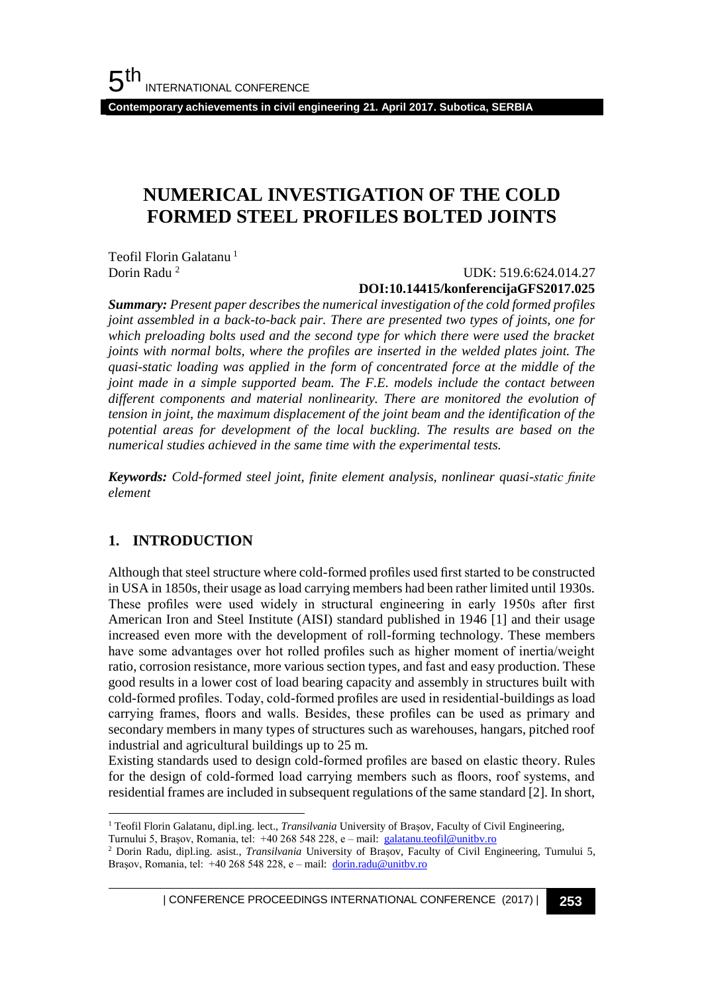**Contemporary achievements in civil engineering 21. April 2017. Subotica, SERBIA**

# **NUMERICAL INVESTIGATION OF THE COLD FORMED STEEL PROFILES BOLTED JOINTS**

Teofil Florin Galatanu<sup>1</sup> Dorin Radu <sup>2</sup>

### UDK: 519.6:624.014.27 **DOI:10.14415/konferencijaGFS2017.025**

*Summary: Present paper describes the numerical investigation of the cold formed profiles joint assembled in a back-to-back pair. There are presented two types of joints, one for*  which preloading bolts used and the second type for which there were used the bracket *joints with normal bolts, where the profiles are inserted in the welded plates joint. The quasi-static loading was applied in the form of concentrated force at the middle of the joint made in a simple supported beam. The F.E. models include the contact between different components and material nonlinearity. There are monitored the evolution of tension in joint, the maximum displacement of the joint beam and the identification of the potential areas for development of the local buckling. The results are based on the numerical studies achieved in the same time with the experimental tests.*

*Keywords: Cold-formed steel joint, finite element analysis, nonlinear quasi-static finite element*

## **1. INTRODUCTION**

l

Although that steel structure where cold-formed profiles used first started to be constructed in USA in 1850s, their usage as load carrying members had been rather limited until 1930s. These profiles were used widely in structural engineering in early 1950s after first American Iron and Steel Institute (AISI) standard published in 1946 [1] and their usage increased even more with the development of roll-forming technology. These members have some advantages over hot rolled profiles such as higher moment of inertia/weight ratio, corrosion resistance, more various section types, and fast and easy production. These good results in a lower cost of load bearing capacity and assembly in structures built with cold-formed profiles. Today, cold-formed profiles are used in residential-buildings as load carrying frames, floors and walls. Besides, these profiles can be used as primary and secondary members in many types of structures such as warehouses, hangars, pitched roof industrial and agricultural buildings up to 25 m.

Existing standards used to design cold-formed profiles are based on elastic theory. Rules for the design of cold-formed load carrying members such as floors, roof systems, and residential frames are included in subsequent regulations of the same standard [2]. In short,

<sup>&</sup>lt;sup>1</sup> Teofil Florin Galatanu, dipl.ing. lect., *Transilvania* University of Brașov, Faculty of Civil Engineering,

Turnului 5, Brașov, Romania, tel: +40 268 548 228, e – mail: [galatanu.teofil@unitbv.ro](mailto:galatanu.teofil@unitbv.ro)

<sup>2</sup> Dorin Radu, dipl.ing. asist., *Transilvania* University of Brașov, Faculty of Civil Engineering, Turnului 5, Brașov, Romania, tel: +40 268 548 228, e – mail: [dorin.radu@unitbv.ro](mailto:dorin.radu@unitbv.ro)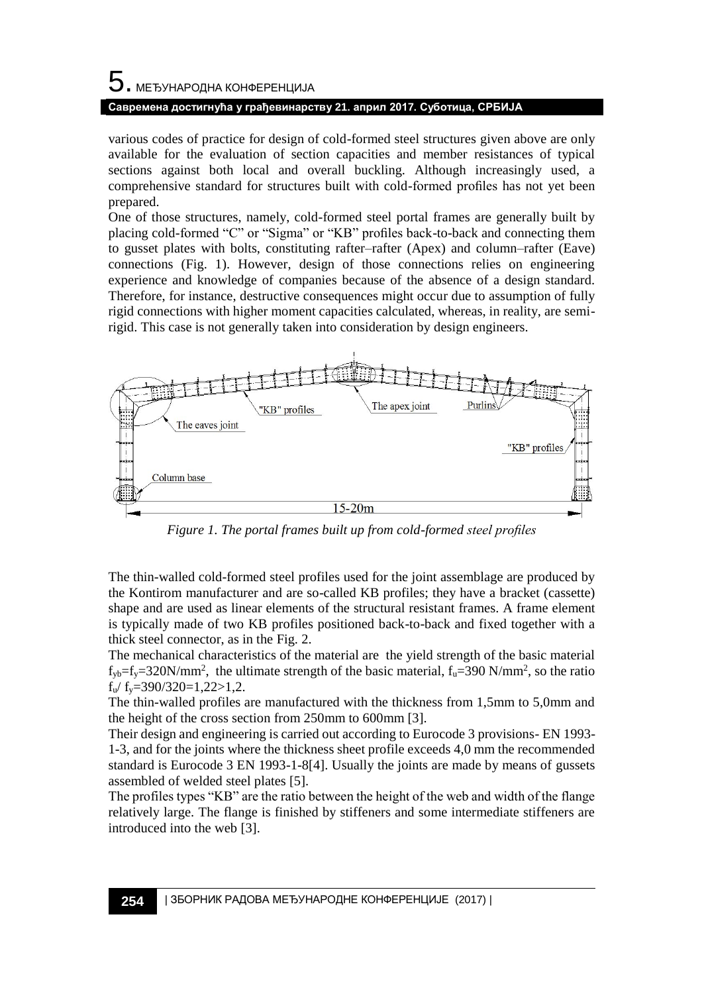# $5$ . међународна конференција **Савремена достигнућа у грађевинарству 21. април 2017. Суботица, СРБИЈА**

various codes of practice for design of cold-formed steel structures given above are only available for the evaluation of section capacities and member resistances of typical sections against both local and overall buckling. Although increasingly used, a comprehensive standard for structures built with cold-formed profiles has not yet been prepared.

One of those structures, namely, cold-formed steel portal frames are generally built by placing cold-formed "C" or "Sigma" or "KB" profiles back-to-back and connecting them to gusset plates with bolts, constituting rafter–rafter (Apex) and column–rafter (Eave) connections (Fig. 1). However, design of those connections relies on engineering experience and knowledge of companies because of the absence of a design standard. Therefore, for instance, destructive consequences might occur due to assumption of fully rigid connections with higher moment capacities calculated, whereas, in reality, are semirigid. This case is not generally taken into consideration by design engineers.



*Figure 1. The portal frames built up from cold-formed steel profiles*

The thin-walled cold-formed steel profiles used for the joint assemblage are produced by the Kontirom manufacturer and are so-called KB profiles; they have a bracket (cassette) shape and are used as linear elements of the structural resistant frames. A frame element is typically made of two KB profiles positioned back-to-back and fixed together with a thick steel connector, as in the Fig. 2.

The mechanical characteristics of the material are the yield strength of the basic material  $f_{yb} = f_y = 320 \text{N/mm}^2$ , the ultimate strength of the basic material,  $f_u = 390 \text{N/mm}^2$ , so the ratio  $f_{\text{u}}/f_{\text{v}} = 390/320 = 1,22 > 1,2$ .

The thin-walled profiles are manufactured with the thickness from 1,5mm to 5,0mm and the height of the cross section from 250mm to 600mm [3].

Their design and engineering is carried out according to Eurocode 3 provisions- EN 1993- 1-3, and for the joints where the thickness sheet profile exceeds 4,0 mm the recommended standard is Eurocode 3 EN 1993-1-8[4]. Usually the joints are made by means of gussets assembled of welded steel plates [5].

The profiles types "KB" are the ratio between the height of the web and width of the flange relatively large. The flange is finished by stiffeners and some intermediate stiffeners are introduced into the web [3].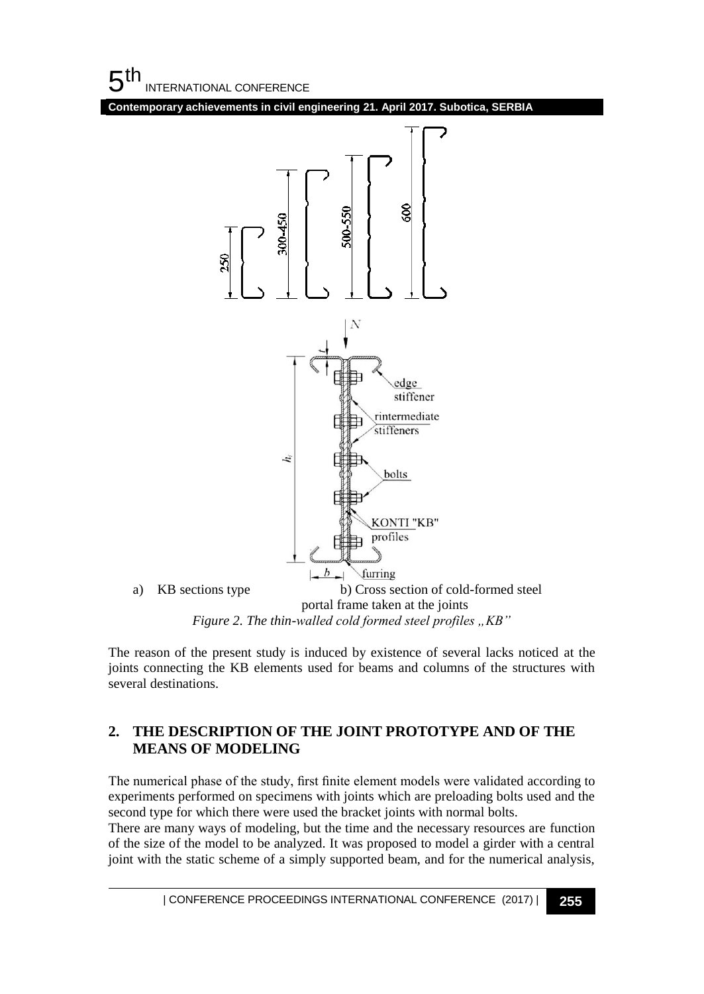$5<sup>th</sup>$ INTERNATIONAL CONFERENCE

**Contemporary achievements in civil engineering 21. April 2017. Subotica, SERBIA**



The reason of the present study is induced by existence of several lacks noticed at the joints connecting the KB elements used for beams and columns of the structures with several destinations.

## **2. THE DESCRIPTION OF THE JOINT PROTOTYPE AND OF THE MEANS OF MODELING**

The numerical phase of the study, first finite element models were validated according to experiments performed on specimens with joints which are preloading bolts used and the second type for which there were used the bracket joints with normal bolts.

There are many ways of modeling, but the time and the necessary resources are function of the size of the model to be analyzed. It was proposed to model a girder with a central joint with the static scheme of a simply supported beam, and for the numerical analysis,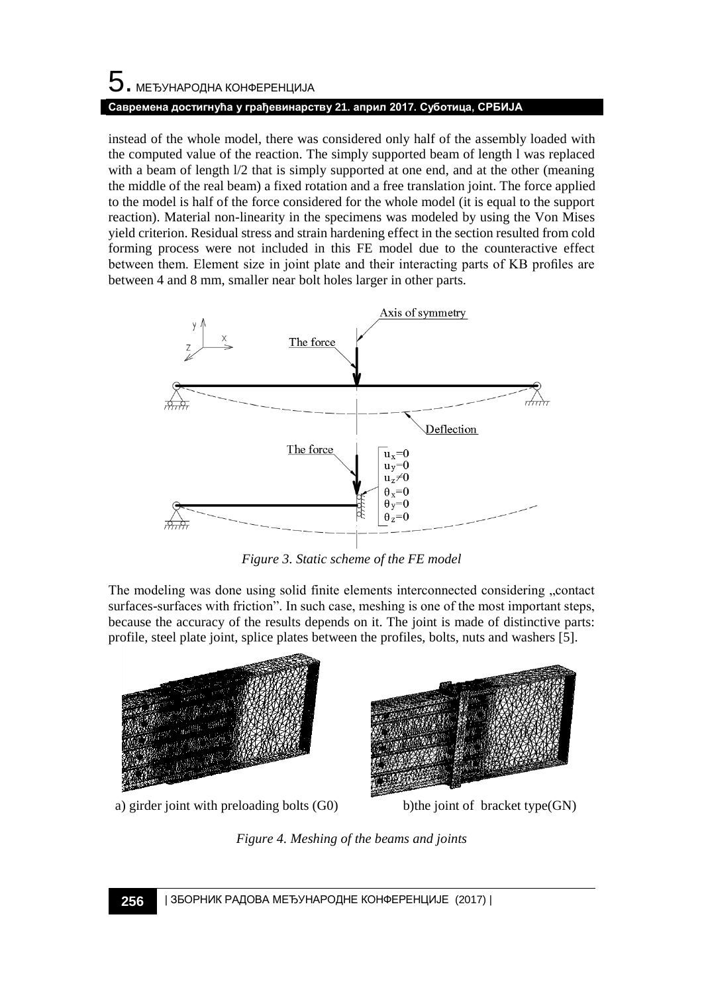# 5. МЕЂУНАРОДНА КОНФЕРЕНЦИЈА **Савремена достигнућа у грађевинарству 21. април 2017. Суботица, СРБИЈА**

instead of the whole model, there was considered only half of the assembly loaded with the computed value of the reaction. The simply supported beam of length l was replaced with a beam of length  $1/2$  that is simply supported at one end, and at the other (meaning the middle of the real beam) a fixed rotation and a free translation joint. The force applied to the model is half of the force considered for the whole model (it is equal to the support reaction). Material non-linearity in the specimens was modeled by using the Von Mises yield criterion. Residual stress and strain hardening effect in the section resulted from cold forming process were not included in this FE model due to the counteractive effect between them. Element size in joint plate and their interacting parts of KB profiles are between 4 and 8 mm, smaller near bolt holes larger in other parts.



*Figure 3. Static scheme of the FE model* 

The modeling was done using solid finite elements interconnected considering "contact surfaces-surfaces with friction". In such case, meshing is one of the most important steps, because the accuracy of the results depends on it. The joint is made of distinctive parts: profile, steel plate joint, splice plates between the profiles, bolts, nuts and washers [5].



a) girder joint with preloading bolts  $(G0)$  b)the joint of bracket type $(GN)$ 



*Figure 4. Meshing of the beams and joints*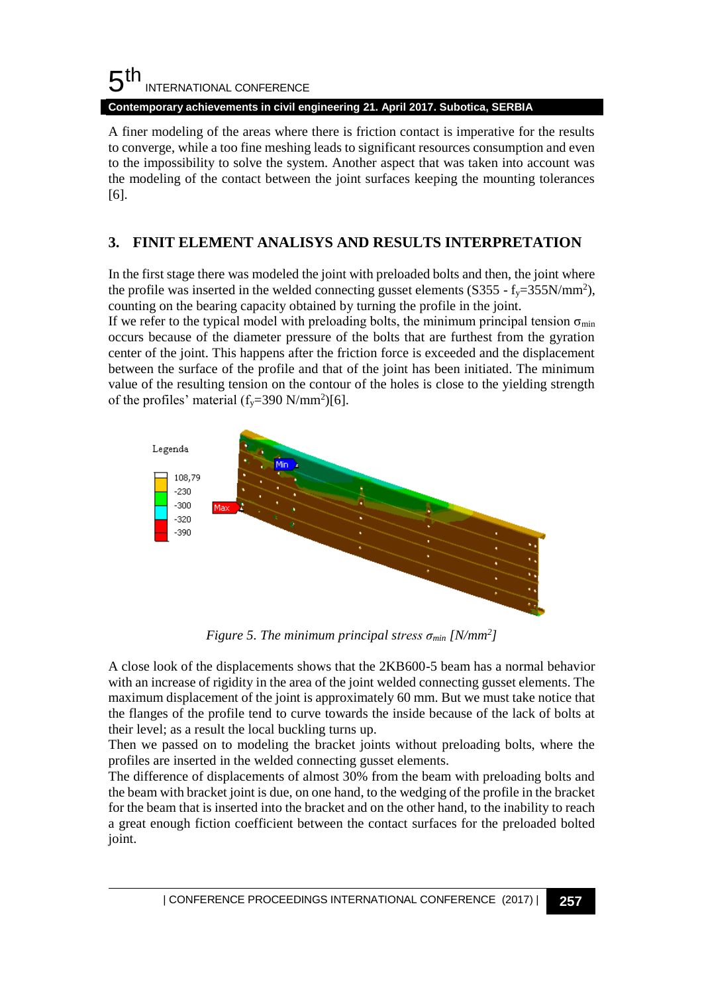#### 5 th INTERNATIONAL CONFERENCE

**Contemporary achievements in civil engineering 21. April 2017. Subotica, SERBIA**

A finer modeling of the areas where there is friction contact is imperative for the results to converge, while a too fine meshing leads to significant resources consumption and even to the impossibility to solve the system. Another aspect that was taken into account was the modeling of the contact between the joint surfaces keeping the mounting tolerances [6].

# **3. FINIT ELEMENT ANALISYS AND RESULTS INTERPRETATION**

In the first stage there was modeled the joint with preloaded bolts and then, the joint where the profile was inserted in the welded connecting gusset elements  $(S355 - f_y=355N/mm^2)$ , counting on the bearing capacity obtained by turning the profile in the joint.

If we refer to the typical model with preloading bolts, the minimum principal tension  $\sigma_{min}$ occurs because of the diameter pressure of the bolts that are furthest from the gyration center of the joint. This happens after the friction force is exceeded and the displacement between the surface of the profile and that of the joint has been initiated. The minimum value of the resulting tension on the contour of the holes is close to the yielding strength of the profiles' material  $(f_y=390 \text{ N/mm}^2)$ [6].



*Figure 5. The minimum principal stress σmin [N/mm<sup>2</sup> ]* 

A close look of the displacements shows that the 2KB600-5 beam has a normal behavior with an increase of rigidity in the area of the joint welded connecting gusset elements. The maximum displacement of the joint is approximately 60 mm. But we must take notice that the flanges of the profile tend to curve towards the inside because of the lack of bolts at their level; as a result the local buckling turns up.

Then we passed on to modeling the bracket joints without preloading bolts, where the profiles are inserted in the welded connecting gusset elements.

The difference of displacements of almost 30% from the beam with preloading bolts and the beam with bracket joint is due, on one hand, to the wedging of the profile in the bracket for the beam that is inserted into the bracket and on the other hand, to the inability to reach a great enough fiction coefficient between the contact surfaces for the preloaded bolted joint.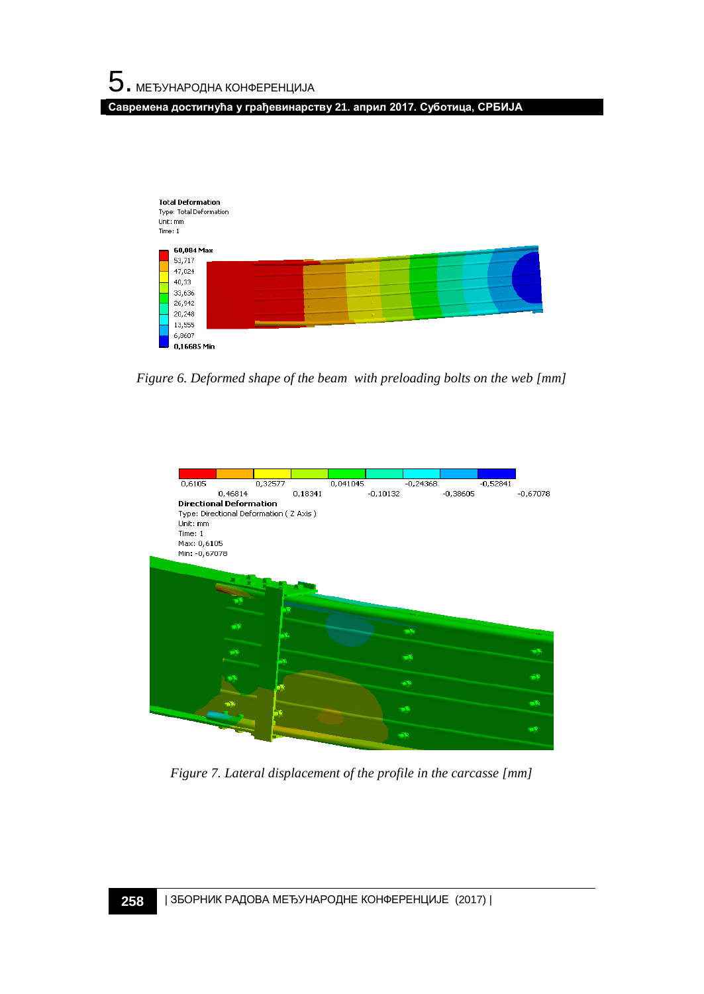**Савремена достигнућа у грађевинарству 21. април 2017. Суботица, СРБИЈА**



*Figure 6. Deformed shape of the beam with preloading bolts on the web [mm]*



*Figure 7. Lateral displacement of the profile in the carcasse [mm]*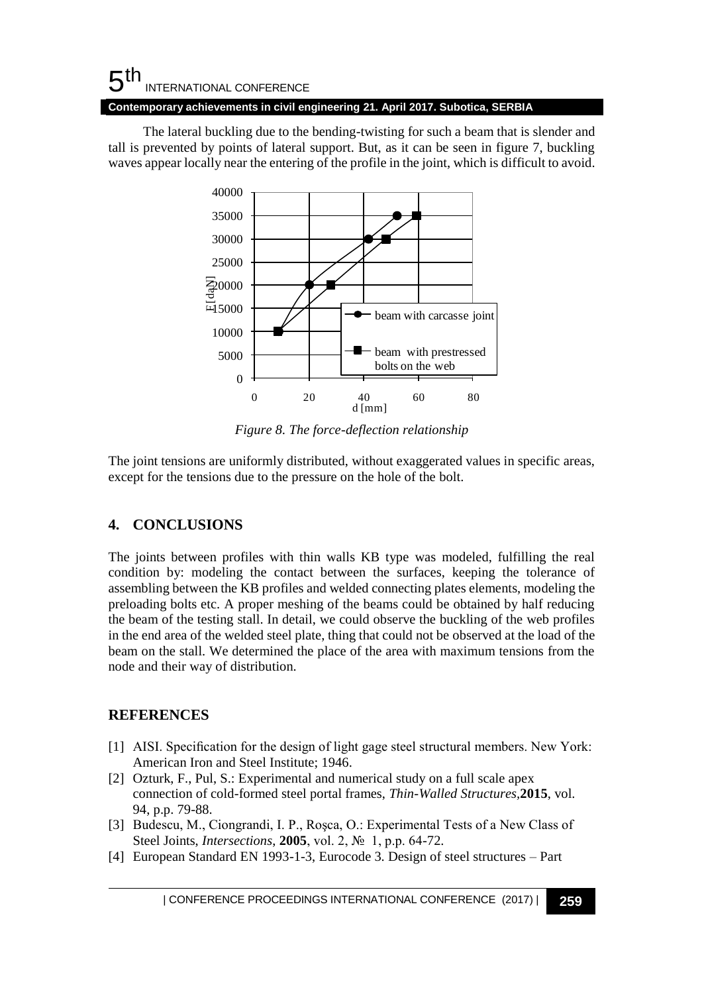#### 5 th INTERNATIONAL CONFERENCE **Contemporary achievements in civil engineering 21. April 2017. Subotica, SERBIA**

The lateral buckling due to the bending-twisting for such a beam that is slender and tall is prevented by points of lateral support. But, as it can be seen in figure 7, buckling waves appear locally near the entering of the profile in the joint, which is difficult to avoid.



*Figure 8. The force-deflection relationship* 

The joint tensions are uniformly distributed, without exaggerated values in specific areas, except for the tensions due to the pressure on the hole of the bolt.

## **4. CONCLUSIONS**

The joints between profiles with thin walls KB type was modeled, fulfilling the real condition by: modeling the contact between the surfaces, keeping the tolerance of assembling between the KB profiles and welded connecting plates elements, modeling the preloading bolts etc. A proper meshing of the beams could be obtained by half reducing the beam of the testing stall. In detail, we could observe the buckling of the web profiles in the end area of the welded steel plate, thing that could not be observed at the load of the beam on the stall. We determined the place of the area with maximum tensions from the node and their way of distribution.

## **REFERENCES**

- [1] AISI. Specification for the design of light gage steel structural members. New York: American Iron and Steel Institute; 1946.
- [2] Ozturk, F., Pul, S.: Experimental and numerical study on a full scale apex connection of cold-formed steel portal frames, *Thin-Walled Structures,***2015**, vol. 94, p.p. 79-88.
- [3] Budescu, M., Ciongrandi, I. P., Roşca, O.: Experimental Tests of a New Class of Steel Joints, *Intersections*, **2005**, vol. 2, № 1, p.p. 64-72.
- [4] European Standard EN 1993-1-3, Eurocode 3. Design of steel structures Part